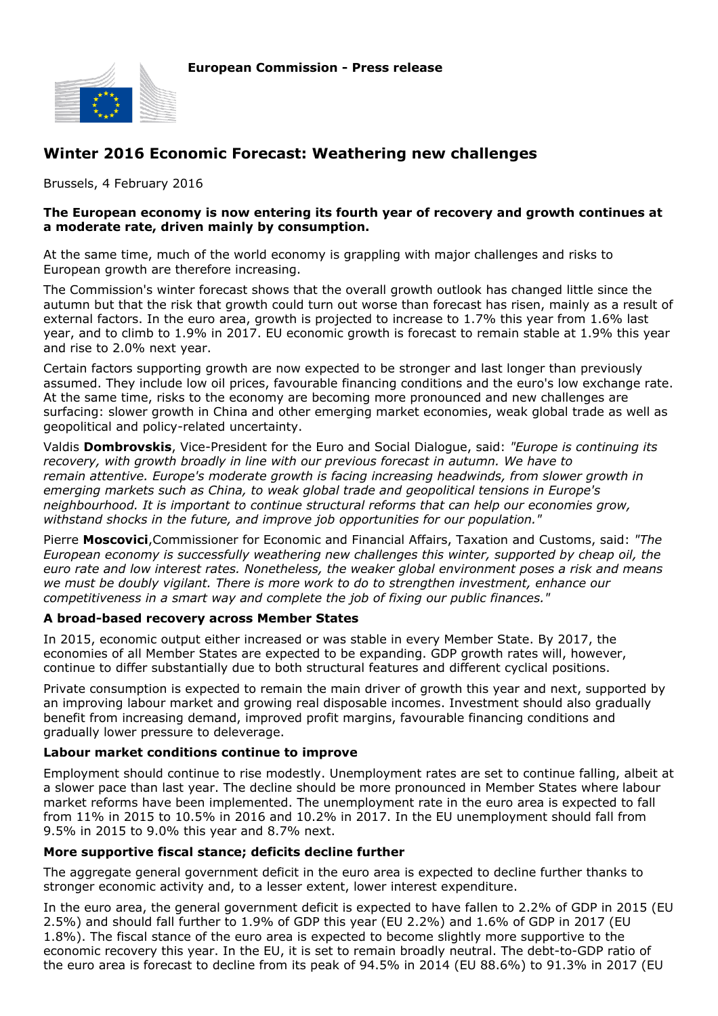

# **Winter 2016 Economic Forecast: Weathering new challenges**

Brussels, 4 February 2016

#### **The European economy is now entering its fourth year of recovery and growth continues at a moderate rate, driven mainly by consumption.**

At the same time, much of the world economy is grappling with major challenges and risks to European growth are therefore increasing.

The Commission's winter forecast shows that the overall growth outlook has changed little since the autumn but that the risk that growth could turn out worse than forecast has risen, mainly as a result of external factors. In the euro area, growth is projected to increase to 1.7% this year from 1.6% last year, and to climb to 1.9% in 2017. EU economic growth is forecast to remain stable at 1.9% this year and rise to 2.0% next year.

Certain factors supporting growth are now expected to be stronger and last longer than previously assumed. They include low oil prices, favourable financing conditions and the euro's low exchange rate. At the same time, risks to the economy are becoming more pronounced and new challenges are surfacing: slower growth in China and other emerging market economies, weak global trade as well as geopolitical and policy-related uncertainty.

Valdis **Dombrovskis**, Vice-President for the Euro and Social Dialogue, said: *"Europe is continuing its recovery, with growth broadly in line with our previous forecast in autumn. We have to remain attentive. Europe's moderate growth is facing increasing headwinds, from slower growth in emerging markets such as China, to weak global trade and geopolitical tensions in Europe's neighbourhood. It is important to continue structural reforms that can help our economies grow, withstand shocks in the future, and improve job opportunities for our population."*

Pierre **Moscovici**,Commissioner for Economic and Financial Affairs, Taxation and Customs, said: *"The European economy is successfully weathering new challenges this winter, supported by cheap oil, the euro rate and low interest rates. Nonetheless, the weaker global environment poses a risk and means we must be doubly vigilant. There is more work to do to strengthen investment, enhance our competitiveness in a smart way and complete the job of fixing our public finances."*

#### **A broad-based recovery across Member States**

In 2015, economic output either increased or was stable in every Member State. By 2017, the economies of all Member States are expected to be expanding. GDP growth rates will, however, continue to differ substantially due to both structural features and different cyclical positions.

Private consumption is expected to remain the main driver of growth this year and next, supported by an improving labour market and growing real disposable incomes. Investment should also gradually benefit from increasing demand, improved profit margins, favourable financing conditions and gradually lower pressure to deleverage.

# **Labour market conditions continue to improve**

Employment should continue to rise modestly. Unemployment rates are set to continue falling, albeit at a slower pace than last year. The decline should be more pronounced in Member States where labour market reforms have been implemented. The unemployment rate in the euro area is expected to fall from 11% in 2015 to 10.5% in 2016 and 10.2% in 2017. In the EU unemployment should fall from 9.5% in 2015 to 9.0% this year and 8.7% next.

# **More supportive fiscal stance; deficits decline further**

The aggregate general government deficit in the euro area is expected to decline further thanks to stronger economic activity and, to a lesser extent, lower interest expenditure.

In the euro area, the general government deficit is expected to have fallen to 2.2% of GDP in 2015 (EU 2.5%) and should fall further to 1.9% of GDP this year (EU 2.2%) and 1.6% of GDP in 2017 (EU 1.8%). The fiscal stance of the euro area is expected to become slightly more supportive to the economic recovery this year. In the EU, it is set to remain broadly neutral. The debt-to-GDP ratio of the euro area is forecast to decline from its peak of 94.5% in 2014 (EU 88.6%) to 91.3% in 2017 (EU